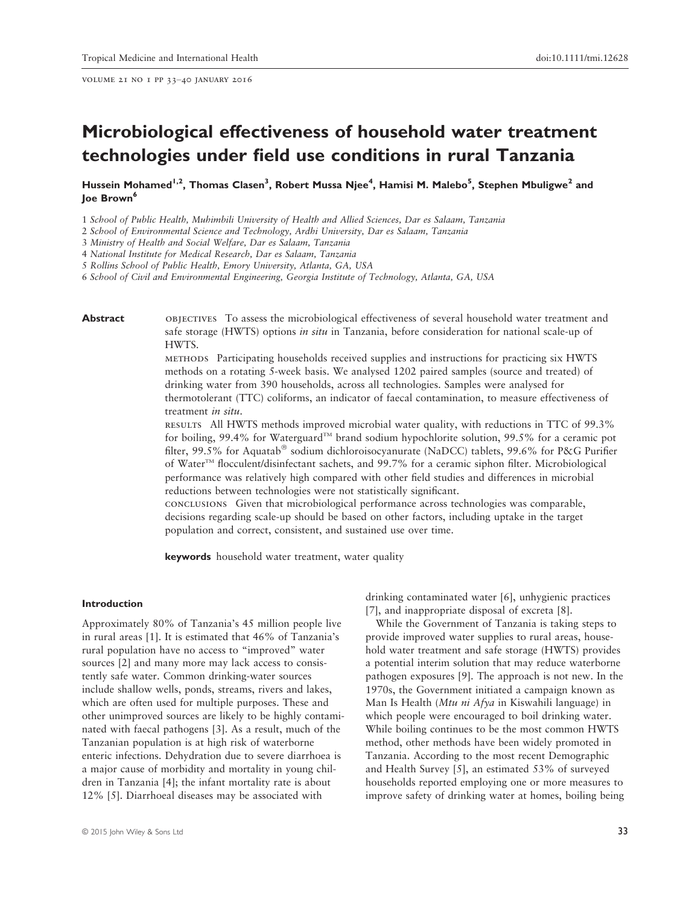volume 21 no 1 pp 33–40 january 2016

# Microbiological effectiveness of household water treatment technologies under field use conditions in rural Tanzania

Hussein Mohamed<sup>1,2</sup>, Thomas Clasen<sup>3</sup>, Robert Mussa Njee<sup>4</sup>, Hamisi M. Malebo<sup>5</sup>, Stephen Mbuligwe<sup>2</sup> and Joe Brown<sup>6</sup>

1 School of Public Health, Muhimbili University of Health and Allied Sciences, Dar es Salaam, Tanzania

2 School of Environmental Science and Technology, Ardhi University, Dar es Salaam, Tanzania

3 Ministry of Health and Social Welfare, Dar es Salaam, Tanzania

4 National Institute for Medical Research, Dar es Salaam, Tanzania

5 Rollins School of Public Health, Emory University, Atlanta, GA, USA

6 School of Civil and Environmental Engineering, Georgia Institute of Technology, Atlanta, GA, USA

Abstract **objectives** To assess the microbiological effectiveness of several household water treatment and safe storage (HWTS) options *in situ* in Tanzania, before consideration for national scale-up of HWTS.

> methods Participating households received supplies and instructions for practicing six HWTS methods on a rotating 5-week basis. We analysed 1202 paired samples (source and treated) of drinking water from 390 households, across all technologies. Samples were analysed for thermotolerant (TTC) coliforms, an indicator of faecal contamination, to measure effectiveness of treatment in situ.

results All HWTS methods improved microbial water quality, with reductions in TTC of 99.3% for boiling, 99.4% for Waterguard<sup>TM</sup> brand sodium hypochlorite solution, 99.5% for a ceramic pot filter, 99.5% for Aquatab® sodium dichloroisocyanurate (NaDCC) tablets, 99.6% for P&G Purifier of Water<sup>TM</sup> flocculent/disinfectant sachets, and 99.7% for a ceramic siphon filter. Microbiological performance was relatively high compared with other field studies and differences in microbial reductions between technologies were not statistically significant.

conclusions Given that microbiological performance across technologies was comparable, decisions regarding scale-up should be based on other factors, including uptake in the target population and correct, consistent, and sustained use over time.

keywords household water treatment, water quality

# Introduction

Approximately 80% of Tanzania's 45 million people live in rural areas [1]. It is estimated that 46% of Tanzania's rural population have no access to "improved" water sources [2] and many more may lack access to consistently safe water. Common drinking-water sources include shallow wells, ponds, streams, rivers and lakes, which are often used for multiple purposes. These and other unimproved sources are likely to be highly contaminated with faecal pathogens [3]. As a result, much of the Tanzanian population is at high risk of waterborne enteric infections. Dehydration due to severe diarrhoea is a major cause of morbidity and mortality in young children in Tanzania [4]; the infant mortality rate is about 12% [5]. Diarrhoeal diseases may be associated with

drinking contaminated water [6], unhygienic practices [7], and inappropriate disposal of excreta [8].

While the Government of Tanzania is taking steps to provide improved water supplies to rural areas, household water treatment and safe storage (HWTS) provides a potential interim solution that may reduce waterborne pathogen exposures [9]. The approach is not new. In the 1970s, the Government initiated a campaign known as Man Is Health (Mtu ni Afya in Kiswahili language) in which people were encouraged to boil drinking water. While boiling continues to be the most common HWTS method, other methods have been widely promoted in Tanzania. According to the most recent Demographic and Health Survey [5], an estimated 53% of surveyed households reported employing one or more measures to improve safety of drinking water at homes, boiling being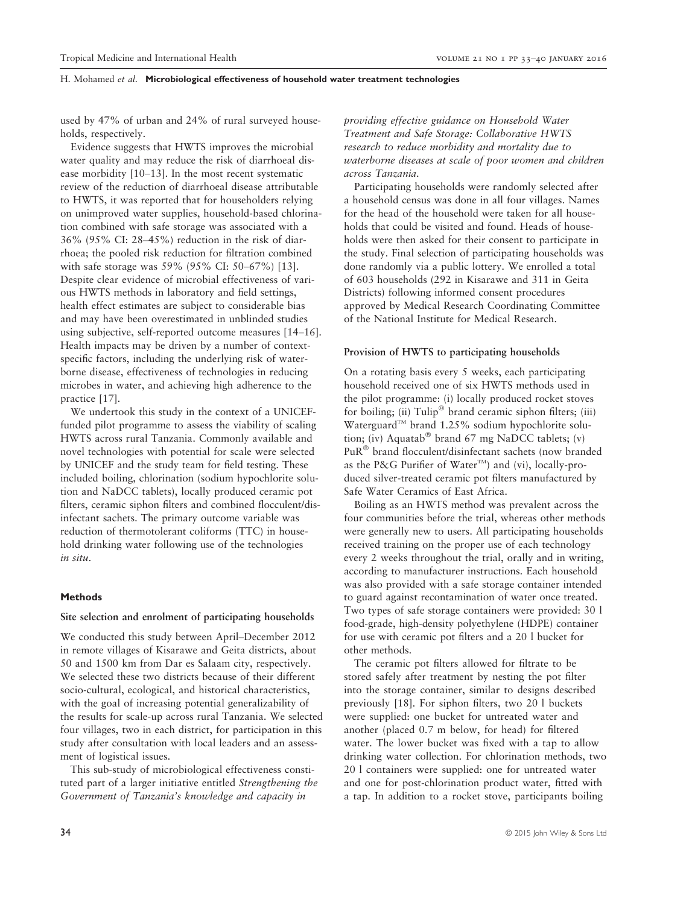used by 47% of urban and 24% of rural surveyed households, respectively.

Evidence suggests that HWTS improves the microbial water quality and may reduce the risk of diarrhoeal disease morbidity [10–13]. In the most recent systematic review of the reduction of diarrhoeal disease attributable to HWTS, it was reported that for householders relying on unimproved water supplies, household-based chlorination combined with safe storage was associated with a 36% (95% CI: 28–45%) reduction in the risk of diarrhoea; the pooled risk reduction for filtration combined with safe storage was 59% (95% CI: 50–67%) [13]. Despite clear evidence of microbial effectiveness of various HWTS methods in laboratory and field settings, health effect estimates are subject to considerable bias and may have been overestimated in unblinded studies using subjective, self-reported outcome measures [14–16]. Health impacts may be driven by a number of contextspecific factors, including the underlying risk of waterborne disease, effectiveness of technologies in reducing microbes in water, and achieving high adherence to the practice [17].

We undertook this study in the context of a UNICEFfunded pilot programme to assess the viability of scaling HWTS across rural Tanzania. Commonly available and novel technologies with potential for scale were selected by UNICEF and the study team for field testing. These included boiling, chlorination (sodium hypochlorite solution and NaDCC tablets), locally produced ceramic pot filters, ceramic siphon filters and combined flocculent/disinfectant sachets. The primary outcome variable was reduction of thermotolerant coliforms (TTC) in household drinking water following use of the technologies in situ.

# Methods

# Site selection and enrolment of participating households

We conducted this study between April–December 2012 in remote villages of Kisarawe and Geita districts, about 50 and 1500 km from Dar es Salaam city, respectively. We selected these two districts because of their different socio-cultural, ecological, and historical characteristics, with the goal of increasing potential generalizability of the results for scale-up across rural Tanzania. We selected four villages, two in each district, for participation in this study after consultation with local leaders and an assessment of logistical issues.

This sub-study of microbiological effectiveness constituted part of a larger initiative entitled Strengthening the Government of Tanzania's knowledge and capacity in

providing effective guidance on Household Water Treatment and Safe Storage: Collaborative HWTS research to reduce morbidity and mortality due to waterborne diseases at scale of poor women and children across Tanzania.

Participating households were randomly selected after a household census was done in all four villages. Names for the head of the household were taken for all households that could be visited and found. Heads of households were then asked for their consent to participate in the study. Final selection of participating households was done randomly via a public lottery. We enrolled a total of 603 households (292 in Kisarawe and 311 in Geita Districts) following informed consent procedures approved by Medical Research Coordinating Committee of the National Institute for Medical Research.

### Provision of HWTS to participating households

On a rotating basis every 5 weeks, each participating household received one of six HWTS methods used in the pilot programme: (i) locally produced rocket stoves for boiling; (ii) Tulip<sup>®</sup> brand ceramic siphon filters; (iii) Waterguard<sup>TM</sup> brand 1.25% sodium hypochlorite solution; (iv) Aquatab<sup>®</sup> brand 67 mg NaDCC tablets; (v) PuR<sup>®</sup> brand flocculent/disinfectant sachets (now branded as the P&G Purifier of Water<sup>TM</sup>) and (vi), locally-produced silver-treated ceramic pot filters manufactured by Safe Water Ceramics of East Africa.

Boiling as an HWTS method was prevalent across the four communities before the trial, whereas other methods were generally new to users. All participating households received training on the proper use of each technology every 2 weeks throughout the trial, orally and in writing, according to manufacturer instructions. Each household was also provided with a safe storage container intended to guard against recontamination of water once treated. Two types of safe storage containers were provided: 30 l food-grade, high-density polyethylene (HDPE) container for use with ceramic pot filters and a 20 l bucket for other methods.

The ceramic pot filters allowed for filtrate to be stored safely after treatment by nesting the pot filter into the storage container, similar to designs described previously [18]. For siphon filters, two 20 l buckets were supplied: one bucket for untreated water and another (placed 0.7 m below, for head) for filtered water. The lower bucket was fixed with a tap to allow drinking water collection. For chlorination methods, two 20 l containers were supplied: one for untreated water and one for post-chlorination product water, fitted with a tap. In addition to a rocket stove, participants boiling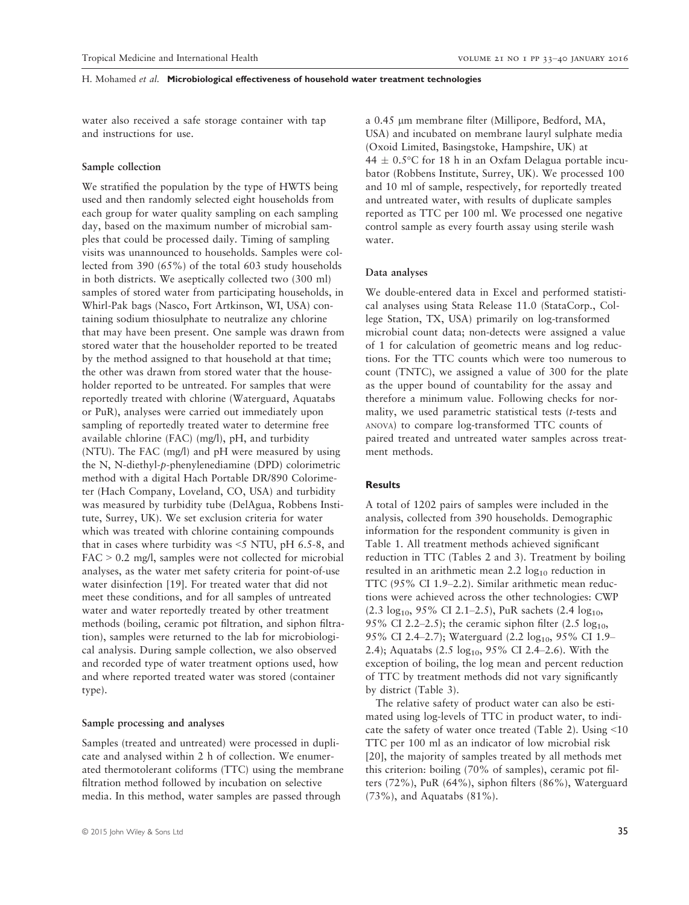water also received a safe storage container with tap and instructions for use.

#### Sample collection

We stratified the population by the type of HWTS being used and then randomly selected eight households from each group for water quality sampling on each sampling day, based on the maximum number of microbial samples that could be processed daily. Timing of sampling visits was unannounced to households. Samples were collected from 390 (65%) of the total 603 study households in both districts. We aseptically collected two (300 ml) samples of stored water from participating households, in Whirl-Pak bags (Nasco, Fort Artkinson, WI, USA) containing sodium thiosulphate to neutralize any chlorine that may have been present. One sample was drawn from stored water that the householder reported to be treated by the method assigned to that household at that time; the other was drawn from stored water that the householder reported to be untreated. For samples that were reportedly treated with chlorine (Waterguard, Aquatabs or PuR), analyses were carried out immediately upon sampling of reportedly treated water to determine free available chlorine (FAC) (mg/l), pH, and turbidity (NTU). The FAC (mg/l) and pH were measured by using the N, N-diethyl-p-phenylenediamine (DPD) colorimetric method with a digital Hach Portable DR/890 Colorimeter (Hach Company, Loveland, CO, USA) and turbidity was measured by turbidity tube (DelAgua, Robbens Institute, Surrey, UK). We set exclusion criteria for water which was treated with chlorine containing compounds that in cases where turbidity was <5 NTU, pH 6.5-8, and FAC > 0.2 mg/l, samples were not collected for microbial analyses, as the water met safety criteria for point-of-use water disinfection [19]. For treated water that did not meet these conditions, and for all samples of untreated water and water reportedly treated by other treatment methods (boiling, ceramic pot filtration, and siphon filtration), samples were returned to the lab for microbiological analysis. During sample collection, we also observed and recorded type of water treatment options used, how and where reported treated water was stored (container type).

# Sample processing and analyses

Samples (treated and untreated) were processed in duplicate and analysed within 2 h of collection. We enumerated thermotolerant coliforms (TTC) using the membrane filtration method followed by incubation on selective media. In this method, water samples are passed through

a 0.45 um membrane filter (Millipore, Bedford, MA, USA) and incubated on membrane lauryl sulphate media (Oxoid Limited, Basingstoke, Hampshire, UK) at  $44 \pm 0.5$ °C for 18 h in an Oxfam Delagua portable incubator (Robbens Institute, Surrey, UK). We processed 100 and 10 ml of sample, respectively, for reportedly treated and untreated water, with results of duplicate samples reported as TTC per 100 ml. We processed one negative control sample as every fourth assay using sterile wash water.

### Data analyses

We double-entered data in Excel and performed statistical analyses using Stata Release 11.0 (StataCorp., College Station, TX, USA) primarily on log-transformed microbial count data; non-detects were assigned a value of 1 for calculation of geometric means and log reductions. For the TTC counts which were too numerous to count (TNTC), we assigned a value of 300 for the plate as the upper bound of countability for the assay and therefore a minimum value. Following checks for normality, we used parametric statistical tests (t-tests and ANOVA) to compare log-transformed TTC counts of paired treated and untreated water samples across treatment methods.

#### Results

A total of 1202 pairs of samples were included in the analysis, collected from 390 households. Demographic information for the respondent community is given in Table 1. All treatment methods achieved significant reduction in TTC (Tables 2 and 3). Treatment by boiling resulted in an arithmetic mean  $2.2 \log_{10}$  reduction in TTC (95% CI 1.9–2.2). Similar arithmetic mean reductions were achieved across the other technologies: CWP  $(2.3 \log_{10} 95\% \text{ CI } 2.1-2.5)$ , PuR sachets  $(2.4 \log_{10} 5.00)$ 95% CI 2.2–2.5); the ceramic siphon filter  $(2.5 \log_{10}$ , 95% CI 2.4-2.7); Waterguard (2.2 log<sub>10</sub>, 95% CI 1.9-2.4); Aquatabs (2.5  $log_{10}$ , 95% CI 2.4–2.6). With the exception of boiling, the log mean and percent reduction of TTC by treatment methods did not vary significantly by district (Table 3).

The relative safety of product water can also be estimated using log-levels of TTC in product water, to indicate the safety of water once treated (Table 2). Using <10 TTC per 100 ml as an indicator of low microbial risk [20], the majority of samples treated by all methods met this criterion: boiling (70% of samples), ceramic pot filters (72%), PuR (64%), siphon filters (86%), Waterguard (73%), and Aquatabs (81%).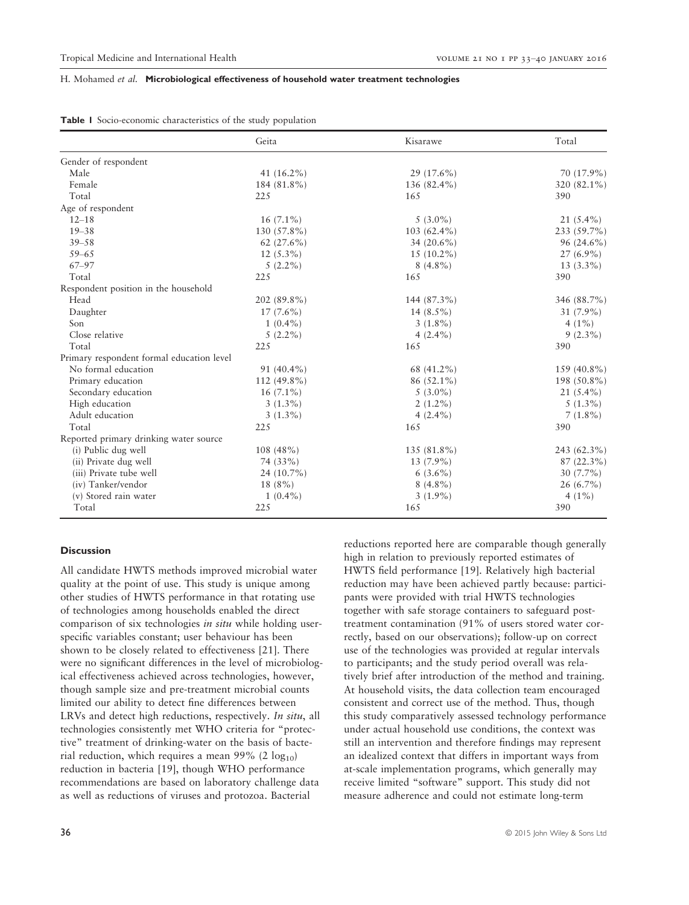|  |  | <b>Table I</b> Socio-economic characteristics of the study population |  |  |  |  |  |
|--|--|-----------------------------------------------------------------------|--|--|--|--|--|
|--|--|-----------------------------------------------------------------------|--|--|--|--|--|

|                                           | Geita         | Kisarawe      | Total        |
|-------------------------------------------|---------------|---------------|--------------|
| Gender of respondent                      |               |               |              |
| Male                                      | 41 $(16.2\%)$ | 29 (17.6%)    | 70 (17.9%)   |
| Female                                    | 184 (81.8%)   | 136 (82.4%)   | 320 (82.1%)  |
| Total                                     | 225           | 165           | 390          |
| Age of respondent                         |               |               |              |
| $12 - 18$                                 | $16(7.1\%)$   | $5(3.0\%)$    | $21(5.4\%)$  |
| $19 - 38$                                 | 130 (57.8%)   | $103(62.4\%)$ | 233 (59.7%)  |
| $39 - 58$                                 | 62 $(27.6\%)$ | 34 (20.6%)    | $96(24.6\%)$ |
| $59 - 65$                                 | $12(5.3\%)$   | $15(10.2\%)$  | $27(6.9\%)$  |
| $67 - 97$                                 | $5(2.2\%)$    | $8(4.8\%)$    | $13(3.3\%)$  |
| Total                                     | 225           | 165           | 390          |
| Respondent position in the household      |               |               |              |
| Head                                      | 202 (89.8%)   | 144 (87.3%)   | 346 (88.7%)  |
| Daughter                                  | $17(7.6\%)$   | 14 $(8.5\%)$  | $31(7.9\%)$  |
| Son                                       | $1(0.4\%)$    | $3(1.8\%)$    | 4 $(1\%)$    |
| Close relative                            | $5(2.2\%)$    | $4(2.4\%)$    | $9(2.3\%)$   |
| Total                                     | 225           | 165           | 390          |
| Primary respondent formal education level |               |               |              |
| No formal education                       | 91 (40.4%)    | 68 (41.2%)    | 159 (40.8%)  |
| Primary education                         | 112 (49.8%)   | 86 (52.1%)    | 198 (50.8%)  |
| Secondary education                       | $16(7.1\%)$   | $5(3.0\%)$    | $21(5.4\%)$  |
| High education                            | $3(1.3\%)$    | $2(1.2\%)$    | $5(1.3\%)$   |
| Adult education                           | $3(1.3\%)$    | $4(2.4\%)$    | $7(1.8\%)$   |
| Total                                     | 225           | 165           | 390          |
| Reported primary drinking water source    |               |               |              |
| (i) Public dug well                       | 108 (48%)     | 135 (81.8%)   | 243 (62.3%)  |
| (ii) Private dug well                     | 74 (33%)      | 13 (7.9%)     | $87(22.3\%)$ |
| (iii) Private tube well                   | 24 (10.7%)    | $6(3.6\%)$    | $30(7.7\%)$  |
| (iv) Tanker/vendor                        | $18(8\%)$     | $8(4.8\%)$    | $26(6.7\%)$  |
| (v) Stored rain water                     | $1(0.4\%)$    | $3(1.9\%)$    | 4 $(1\%)$    |
| Total                                     | 225           | 165           | 390          |

# **Discussion**

All candidate HWTS methods improved microbial water quality at the point of use. This study is unique among other studies of HWTS performance in that rotating use of technologies among households enabled the direct comparison of six technologies *in situ* while holding userspecific variables constant; user behaviour has been shown to be closely related to effectiveness [21]. There were no significant differences in the level of microbiological effectiveness achieved across technologies, however, though sample size and pre-treatment microbial counts limited our ability to detect fine differences between LRVs and detect high reductions, respectively. In situ, all technologies consistently met WHO criteria for "protective" treatment of drinking-water on the basis of bacterial reduction, which requires a mean  $99\%$  (2 log<sub>10</sub>) reduction in bacteria [19], though WHO performance recommendations are based on laboratory challenge data as well as reductions of viruses and protozoa. Bacterial

reductions reported here are comparable though generally high in relation to previously reported estimates of HWTS field performance [19]. Relatively high bacterial reduction may have been achieved partly because: participants were provided with trial HWTS technologies together with safe storage containers to safeguard posttreatment contamination (91% of users stored water correctly, based on our observations); follow-up on correct use of the technologies was provided at regular intervals to participants; and the study period overall was relatively brief after introduction of the method and training. At household visits, the data collection team encouraged consistent and correct use of the method. Thus, though this study comparatively assessed technology performance under actual household use conditions, the context was still an intervention and therefore findings may represent an idealized context that differs in important ways from at-scale implementation programs, which generally may receive limited "software" support. This study did not measure adherence and could not estimate long-term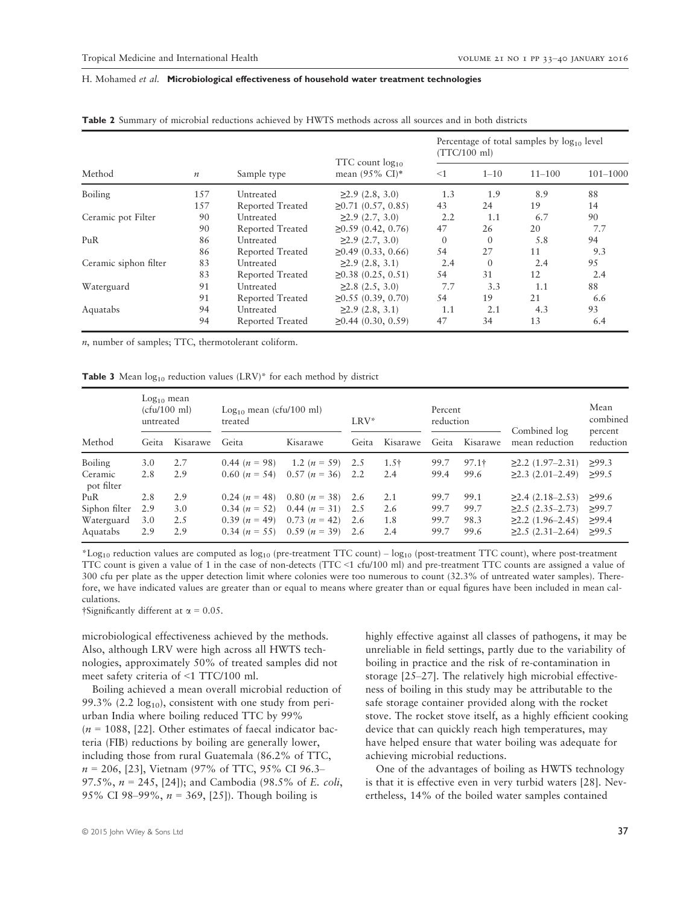|                       |                  |                  |                                                    | Percentage of total samples by $log_{10}$ level<br>(TTC/100 ml) |          |            |              |  |
|-----------------------|------------------|------------------|----------------------------------------------------|-----------------------------------------------------------------|----------|------------|--------------|--|
| Method                | $\boldsymbol{n}$ | Sample type      | TTC count $log_{10}$<br>mean $(95\% \text{ CI})^*$ | $<$ 1                                                           | $1 - 10$ | $11 - 100$ | $101 - 1000$ |  |
| <b>Boiling</b>        | 157              | Untreated        | $\geq$ 2.9 (2.8, 3.0)                              | 1.3                                                             | 1.9      | 8.9        | 88           |  |
|                       | 157              | Reported Treated | $\geq$ 0.71 (0.57, 0.85)                           | 43                                                              | 24       | 19         | 14           |  |
| Ceramic pot Filter    | 90               | Untreated        | $\geq$ 2.9 (2.7, 3.0)                              | 2.2                                                             | 1.1      | 6.7        | 90           |  |
|                       | 90               | Reported Treated | $\geq$ 0.59 (0.42, 0.76)                           | 47                                                              | 26       | 20         | 7.7          |  |
| PuR                   | 86               | Untreated        | $\geq$ 2.9 (2.7, 3.0)                              | $\Omega$                                                        | $\Omega$ | 5.8        | 94           |  |
|                       | 86               | Reported Treated | $\geq$ 0.49 (0.33, 0.66)                           | 54                                                              | 27       | 11         | 9.3          |  |
| Ceramic siphon filter | 83               | Untreated        | $\geq$ 2.9 (2.8, 3.1)                              | 2.4                                                             | $\Omega$ | 2.4        | 95           |  |
|                       | 83               | Reported Treated | $\geq$ 0.38 (0.25, 0.51)                           | 54                                                              | 31       | 12         | 2.4          |  |
| Waterguard            | 91               | Untreated        | $\geq$ 2.8 (2.5, 3.0)                              | 7.7                                                             | 3.3      | 1.1        | 88           |  |
|                       | 91               | Reported Treated | $\geq 0.55$ (0.39, 0.70)                           | 54                                                              | 19       | 21         | 6.6          |  |
| Aquatabs              | 94               | Untreated        | $\geq$ 2.9 (2.8, 3.1)                              | 1.1                                                             | 2.1      | 4.3        | 93           |  |
|                       | 94               | Reported Treated | $\geq$ 0.44 (0.30, 0.59)                           | 47                                                              | 34       | 13         | 6.4          |  |

Table 2 Summary of microbial reductions achieved by HWTS methods across all sources and in both districts

n, number of samples; TTC, thermotolerant coliform.

**Table 3** Mean  $log_{10}$  reduction values (LRV)\* for each method by district

|                       | $Log10$ mean<br>(cfu/100 ml)<br>untreated |          | $Log10$ mean (cfu/100 ml)<br>treated |                                 | $LRV^*$ |                  | Percent<br>reduction |                   | Combined log           | Mean<br>combined<br>percent |
|-----------------------|-------------------------------------------|----------|--------------------------------------|---------------------------------|---------|------------------|----------------------|-------------------|------------------------|-----------------------------|
| Method                | Geita                                     | Kisarawe | Geita                                | Kisarawe                        | Geita   | Kisarawe         | Geita                | Kisarawe          | mean reduction         | reduction                   |
| <b>Boiling</b>        | 3.0                                       | 2.7      | $0.44(n = 98)$                       | 1.2 $(n = 59)$                  | 2.5     | 1.5 <sup>†</sup> | 99.7                 | 97.1 <sup>†</sup> | $\geq$ 2.2 (1.97–2.31) | >99.3                       |
| Ceramic<br>pot filter | 2.8                                       | 2.9      | $0.60(n = 54)$                       | $0.57(n = 36)$                  | 2.2     | 2.4              | 99.4                 | 99.6              | $\geq$ 2.3 (2.01–2.49) | $\geq 99.5$                 |
| PuR                   | 2.8                                       | 2.9      | $0.24(n = 48)$                       | $0.80(n = 38)$                  | 2.6     | 2.1              | 99.7                 | 99.1              | $\geq$ 2.4 (2.18–2.53) | >99.6                       |
| Siphon filter         | 2.9                                       | 3.0      |                                      | $0.34 (n = 52)$ 0.44 $(n = 31)$ | 2.5     | 2.6              | 99.7                 | 99.7              | $\geq$ 2.5 (2.35–2.73) | >99.7                       |
| Waterguard            | 3.0                                       | 2.5      | $0.39(n = 49)$                       | $0.73(n = 42)$                  | 2.6     | 1.8              | 99.7                 | 98.3              | $\geq$ 2.2 (1.96–2.45) | >99.4                       |
| Aquatabs              | 2.9                                       | 2.9      |                                      | $0.34 (n = 55)$ $0.59 (n = 39)$ | 2.6     | 2.4              | 99.7                 | 99.6              | $\geq$ 2.5 (2.31–2.64) | $\geq 99.5$                 |

 $*Log_{10}$  reduction values are computed as  $log_{10}$  (pre-treatment TTC count) –  $log_{10}$  (post-treatment TTC count), where post-treatment TTC count is given a value of 1 in the case of non-detects (TTC <1 cfu/100 ml) and pre-treatment TTC counts are assigned a value of 300 cfu per plate as the upper detection limit where colonies were too numerous to count (32.3% of untreated water samples). Therefore, we have indicated values are greater than or equal to means where greater than or equal figures have been included in mean calculations.

†Significantly different at  $\alpha$  = 0.05.

microbiological effectiveness achieved by the methods. Also, although LRV were high across all HWTS technologies, approximately 50% of treated samples did not meet safety criteria of <1 TTC/100 ml.

Boiling achieved a mean overall microbial reduction of 99.3% (2.2  $log_{10}$ ), consistent with one study from periurban India where boiling reduced TTC by 99%  $(n = 1088, [22]$ . Other estimates of faecal indicator bacteria (FIB) reductions by boiling are generally lower, including those from rural Guatemala (86.2% of TTC,  $n = 206$ , [23], Vietnam (97% of TTC, 95% CI 96.3– 97.5%,  $n = 245$ , [24]); and Cambodia (98.5% of E. coli, 95% CI 98-99%,  $n = 369$ , [25]). Though boiling is

highly effective against all classes of pathogens, it may be unreliable in field settings, partly due to the variability of boiling in practice and the risk of re-contamination in storage [25–27]. The relatively high microbial effectiveness of boiling in this study may be attributable to the safe storage container provided along with the rocket stove. The rocket stove itself, as a highly efficient cooking device that can quickly reach high temperatures, may have helped ensure that water boiling was adequate for achieving microbial reductions.

One of the advantages of boiling as HWTS technology is that it is effective even in very turbid waters [28]. Nevertheless, 14% of the boiled water samples contained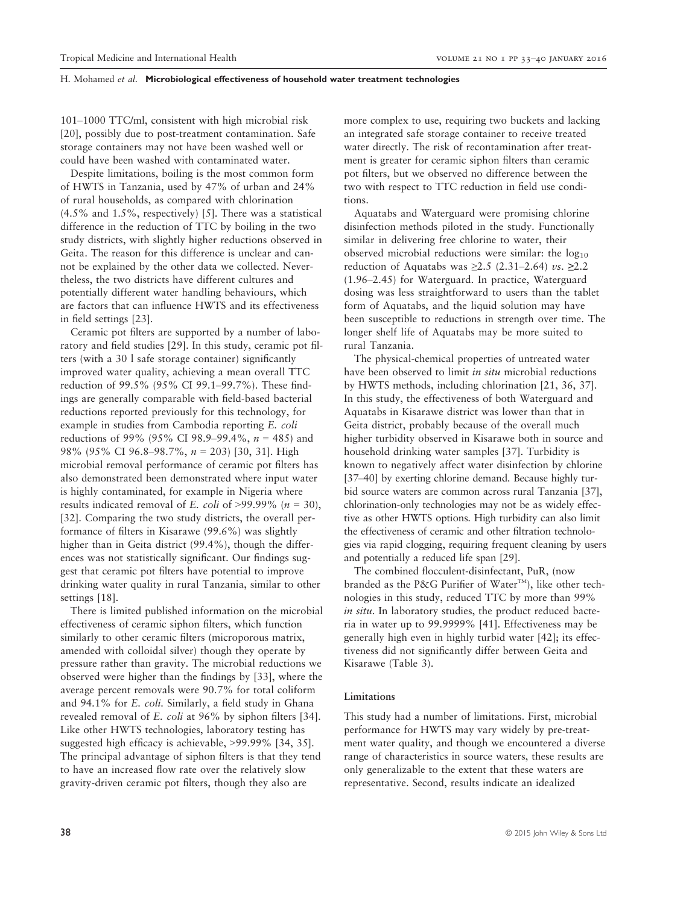101–1000 TTC/ml, consistent with high microbial risk [20], possibly due to post-treatment contamination. Safe storage containers may not have been washed well or could have been washed with contaminated water.

Despite limitations, boiling is the most common form of HWTS in Tanzania, used by 47% of urban and 24% of rural households, as compared with chlorination (4.5% and 1.5%, respectively) [5]. There was a statistical difference in the reduction of TTC by boiling in the two study districts, with slightly higher reductions observed in Geita. The reason for this difference is unclear and cannot be explained by the other data we collected. Nevertheless, the two districts have different cultures and potentially different water handling behaviours, which are factors that can influence HWTS and its effectiveness in field settings [23].

Ceramic pot filters are supported by a number of laboratory and field studies [29]. In this study, ceramic pot filters (with a 30 l safe storage container) significantly improved water quality, achieving a mean overall TTC reduction of 99.5% (95% CI 99.1–99.7%). These findings are generally comparable with field-based bacterial reductions reported previously for this technology, for example in studies from Cambodia reporting E. coli reductions of 99% (95% CI 98.9–99.4%,  $n = 485$ ) and 98% (95% CI 96.8–98.7%, n = 203) [30, 31]. High microbial removal performance of ceramic pot filters has also demonstrated been demonstrated where input water is highly contaminated, for example in Nigeria where results indicated removal of E. coli of >99.99% ( $n = 30$ ), [32]. Comparing the two study districts, the overall performance of filters in Kisarawe (99.6%) was slightly higher than in Geita district (99.4%), though the differences was not statistically significant. Our findings suggest that ceramic pot filters have potential to improve drinking water quality in rural Tanzania, similar to other settings [18].

There is limited published information on the microbial effectiveness of ceramic siphon filters, which function similarly to other ceramic filters (microporous matrix, amended with colloidal silver) though they operate by pressure rather than gravity. The microbial reductions we observed were higher than the findings by [33], where the average percent removals were 90.7% for total coliform and 94.1% for E. coli. Similarly, a field study in Ghana revealed removal of E. coli at 96% by siphon filters [34]. Like other HWTS technologies, laboratory testing has suggested high efficacy is achievable, >99.99% [34, 35]. The principal advantage of siphon filters is that they tend to have an increased flow rate over the relatively slow gravity-driven ceramic pot filters, though they also are

more complex to use, requiring two buckets and lacking an integrated safe storage container to receive treated water directly. The risk of recontamination after treatment is greater for ceramic siphon filters than ceramic pot filters, but we observed no difference between the two with respect to TTC reduction in field use conditions.

Aquatabs and Waterguard were promising chlorine disinfection methods piloted in the study. Functionally similar in delivering free chlorine to water, their observed microbial reductions were similar: the  $log_{10}$ reduction of Aquatabs was  $\geq 2.5$  (2.31–2.64) vs.  $\geq 2.2$ (1.96–2.45) for Waterguard. In practice, Waterguard dosing was less straightforward to users than the tablet form of Aquatabs, and the liquid solution may have been susceptible to reductions in strength over time. The longer shelf life of Aquatabs may be more suited to rural Tanzania.

The physical-chemical properties of untreated water have been observed to limit in situ microbial reductions by HWTS methods, including chlorination [21, 36, 37]. In this study, the effectiveness of both Waterguard and Aquatabs in Kisarawe district was lower than that in Geita district, probably because of the overall much higher turbidity observed in Kisarawe both in source and household drinking water samples [37]. Turbidity is known to negatively affect water disinfection by chlorine [37–40] by exerting chlorine demand. Because highly turbid source waters are common across rural Tanzania [37], chlorination-only technologies may not be as widely effective as other HWTS options. High turbidity can also limit the effectiveness of ceramic and other filtration technologies via rapid clogging, requiring frequent cleaning by users and potentially a reduced life span [29].

The combined flocculent-disinfectant, PuR, (now branded as the P&G Purifier of Water<sup>TM</sup>), like other technologies in this study, reduced TTC by more than 99% in situ. In laboratory studies, the product reduced bacteria in water up to 99.9999% [41]. Effectiveness may be generally high even in highly turbid water [42]; its effectiveness did not significantly differ between Geita and Kisarawe (Table 3).

# Limitations

This study had a number of limitations. First, microbial performance for HWTS may vary widely by pre-treatment water quality, and though we encountered a diverse range of characteristics in source waters, these results are only generalizable to the extent that these waters are representative. Second, results indicate an idealized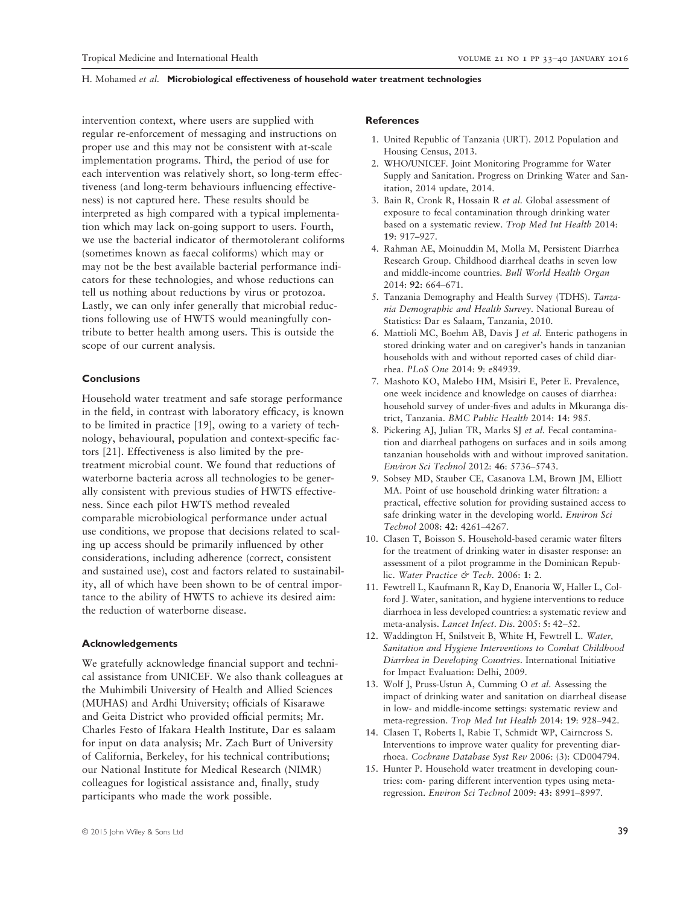intervention context, where users are supplied with regular re-enforcement of messaging and instructions on proper use and this may not be consistent with at-scale implementation programs. Third, the period of use for each intervention was relatively short, so long-term effectiveness (and long-term behaviours influencing effectiveness) is not captured here. These results should be interpreted as high compared with a typical implementation which may lack on-going support to users. Fourth, we use the bacterial indicator of thermotolerant coliforms (sometimes known as faecal coliforms) which may or may not be the best available bacterial performance indicators for these technologies, and whose reductions can tell us nothing about reductions by virus or protozoa. Lastly, we can only infer generally that microbial reductions following use of HWTS would meaningfully contribute to better health among users. This is outside the scope of our current analysis.

# **Conclusions**

Household water treatment and safe storage performance in the field, in contrast with laboratory efficacy, is known to be limited in practice [19], owing to a variety of technology, behavioural, population and context-specific factors [21]. Effectiveness is also limited by the pretreatment microbial count. We found that reductions of waterborne bacteria across all technologies to be generally consistent with previous studies of HWTS effectiveness. Since each pilot HWTS method revealed comparable microbiological performance under actual use conditions, we propose that decisions related to scaling up access should be primarily influenced by other considerations, including adherence (correct, consistent and sustained use), cost and factors related to sustainability, all of which have been shown to be of central importance to the ability of HWTS to achieve its desired aim: the reduction of waterborne disease.

#### Acknowledgements

We gratefully acknowledge financial support and technical assistance from UNICEF. We also thank colleagues at the Muhimbili University of Health and Allied Sciences (MUHAS) and Ardhi University; officials of Kisarawe and Geita District who provided official permits; Mr. Charles Festo of Ifakara Health Institute, Dar es salaam for input on data analysis; Mr. Zach Burt of University of California, Berkeley, for his technical contributions; our National Institute for Medical Research (NIMR) colleagues for logistical assistance and, finally, study participants who made the work possible.

#### References

- 1. United Republic of Tanzania (URT). 2012 Population and Housing Census, 2013.
- 2. WHO/UNICEF. Joint Monitoring Programme for Water Supply and Sanitation. Progress on Drinking Water and Sanitation, 2014 update, 2014.
- 3. Bain R, Cronk R, Hossain R et al. Global assessment of exposure to fecal contamination through drinking water based on a systematic review. Trop Med Int Health 2014: 19: 917–927.
- 4. Rahman AE, Moinuddin M, Molla M, Persistent Diarrhea Research Group. Childhood diarrheal deaths in seven low and middle-income countries. Bull World Health Organ 2014: 92: 664–671.
- 5. Tanzania Demography and Health Survey (TDHS). Tanzania Demographic and Health Survey. National Bureau of Statistics: Dar es Salaam, Tanzania, 2010.
- 6. Mattioli MC, Boehm AB, Davis J et al. Enteric pathogens in stored drinking water and on caregiver's hands in tanzanian households with and without reported cases of child diarrhea. PLoS One 2014: 9: e84939.
- 7. Mashoto KO, Malebo HM, Msisiri E, Peter E. Prevalence, one week incidence and knowledge on causes of diarrhea: household survey of under-fives and adults in Mkuranga district, Tanzania. BMC Public Health 2014: 14: 985.
- 8. Pickering AJ, Julian TR, Marks SJ et al. Fecal contamination and diarrheal pathogens on surfaces and in soils among tanzanian households with and without improved sanitation. Environ Sci Technol 2012: 46: 5736–5743.
- 9. Sobsey MD, Stauber CE, Casanova LM, Brown JM, Elliott MA. Point of use household drinking water filtration: a practical, effective solution for providing sustained access to safe drinking water in the developing world. Environ Sci Technol 2008: 42: 4261–4267.
- 10. Clasen T, Boisson S. Household-based ceramic water filters for the treatment of drinking water in disaster response: an assessment of a pilot programme in the Dominican Republic. Water Practice & Tech. 2006: 1: 2.
- 11. Fewtrell L, Kaufmann R, Kay D, Enanoria W, Haller L, Colford J. Water, sanitation, and hygiene interventions to reduce diarrhoea in less developed countries: a systematic review and meta-analysis. Lancet Infect. Dis. 2005: 5: 42–52.
- 12. Waddington H, Snilstveit B, White H, Fewtrell L. Water, Sanitation and Hygiene Interventions to Combat Childhood Diarrhea in Developing Countries. International Initiative for Impact Evaluation: Delhi, 2009.
- 13. Wolf J, Pruss-Ustun A, Cumming O et al. Assessing the impact of drinking water and sanitation on diarrheal disease in low- and middle-income settings: systematic review and meta-regression. Trop Med Int Health 2014: 19: 928–942.
- 14. Clasen T, Roberts I, Rabie T, Schmidt WP, Cairncross S. Interventions to improve water quality for preventing diarrhoea. Cochrane Database Syst Rev 2006: (3): CD004794.
- 15. Hunter P. Household water treatment in developing countries: com- paring different intervention types using metaregression. Environ Sci Technol 2009: 43: 8991–8997.